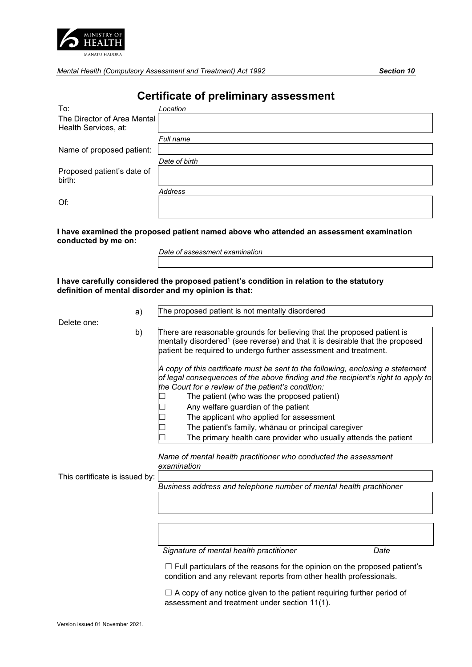

*Mental Health (Compulsory Assessment and Treatment) Act 1992 Section 10* 

# **Certificate of preliminary assessment**

| To:                                  | Location      |
|--------------------------------------|---------------|
| The Director of Area Mental          |               |
| Health Services, at:                 |               |
|                                      | Full name     |
| Name of proposed patient:            |               |
|                                      | Date of birth |
| Proposed patient's date of<br>birth: |               |
|                                      | Address       |
| Of:                                  |               |
|                                      |               |

**I have examined the proposed patient named above who attended an assessment examination conducted by me on:**

**I have carefully considered the proposed patient's condition in relation to the statutory definition of mental disorder and my opinion is that:**

Delete one:

 a) The proposed patient is not mentally disordered b) There are reasonable grounds for believing that the proposed patient is mentally disordered<sup>1</sup> (see reverse) and that it is desirable that the proposed patient be required to undergo further assessment and treatment. *A copy of this certificate must be sent to the following, enclosing a statement of legal consequences of the above finding and the recipient's right to apply to the Court for a review of the patient's condition:*  $\Box$  The patient (who was the proposed patient) □ Any welfare guardian of the patient<br>□ The applicant who applied for asse  $\Box$  The applicant who applied for assessment<br> $\Box$  The patient's family, whānau or principal ca The patient's family, whānau or principal caregiver

☐ The primary health care provider who usually attends the patient

*Name of mental health practitioner who conducted the assessment examination* 

This certificate is issued by:

*Business address and telephone number of mental health practitioner* 

*Signature of mental health practitioner Date*

 $\Box$  Full particulars of the reasons for the opinion on the proposed patient's condition and any relevant reports from other health professionals.

 $\Box$  A copy of any notice given to the patient requiring further period of assessment and treatment under section 11(1).